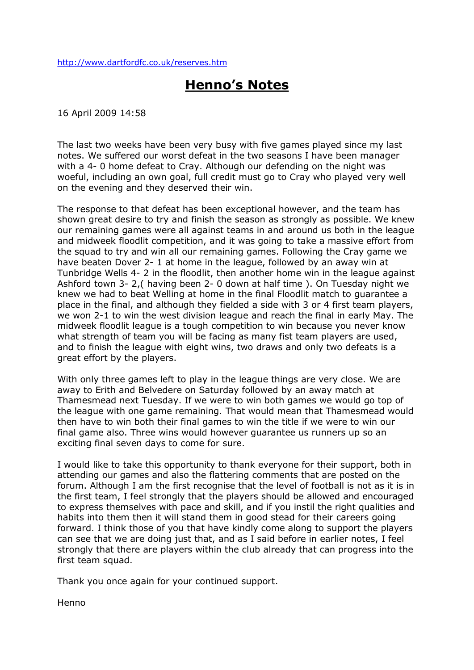<http://www.dartfordfc.co.uk/reserves.htm>

# **Henno's Notes**

16 April 2009 14:58

The last two weeks have been very busy with five games played since my last notes. We suffered our worst defeat in the two seasons I have been manager with a 4-0 home defeat to Cray. Although our defending on the night was woeful, including an own goal, full credit must go to Cray who played very well on the evening and they deserved their win.

The response to that defeat has been exceptional however, and the team has shown great desire to try and finish the season as strongly as possible. We knew our remaining games were all against teams in and around us both in the league and midweek floodlit competition, and it was going to take a massive effort from the squad to try and win all our remaining games. Following the Cray game we have beaten Dover 2-1 at home in the league, followed by an away win at Tunbridge Wells 4- 2 in the floodlit, then another home win in the league against Ashford town 3-2, ( having been 2-0 down at half time ). On Tuesday night we knew we had to beat Welling at home in the final Floodlit match to guarantee a place in the final, and although they fielded a side with 3 or 4 first team players, we won 2-1 to win the west division league and reach the final in early May. The midweek floodlit league is a tough competition to win because you never know what strength of team you will be facing as many fist team players are used, and to finish the league with eight wins, two draws and only two defeats is a great effort by the players.

With only three games left to play in the league things are very close. We are away to Erith and Belvedere on Saturday followed by an away match at Thamesmead next Tuesday. If we were to win both games we would go top of the league with one game remaining. That would mean that Thamesmead would then have to win both their final games to win the title if we were to win our final game also. Three wins would however guarantee us runners up so an exciting final seven days to come for sure.

I would like to take this opportunity to thank everyone for their support, both in attending our games and also the flattering comments that are posted on the forum. Although I am the first recognise that the level of football is not as it is in the first team, I feel strongly that the players should be allowed and encouraged to express themselves with pace and skill, and if you instil the right qualities and habits into them then it will stand them in good stead for their careers going forward. I think those of you that have kindly come along to support the players can see that we are doing just that, and as I said before in earlier notes, I feel strongly that there are players within the club already that can progress into the first team squad.

Thank you once again for your continued support.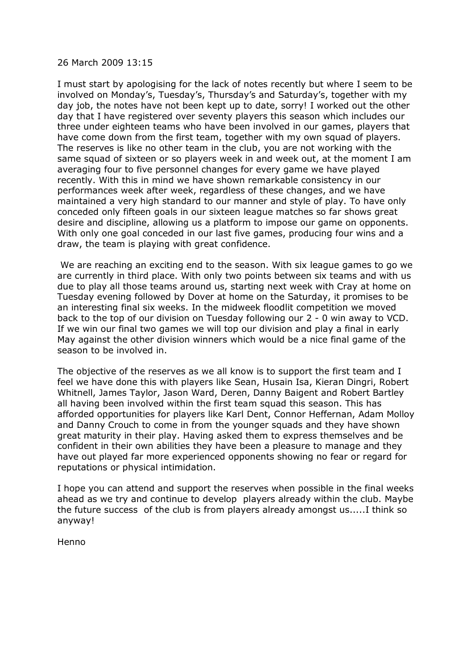#### 26 March 2009 13:15

I must start by apologising for the lack of notes recently but where I seem to be involved on Monday's, Tuesday's, Thursday's and Saturday's, together with my day job, the notes have not been kept up to date, sorry! I worked out the other day that I have registered over seventy players this season which includes our three under eighteen teams who have been involved in our games, players that have come down from the first team, together with my own squad of players. The reserves is like no other team in the club, you are not working with the same squad of sixteen or so players week in and week out, at the moment I am averaging four to five personnel changes for every game we have played recently. With this in mind we have shown remarkable consistency in our performances week after week, regardless of these changes, and we have maintained a very high standard to our manner and style of play. To have only conceded only fifteen goals in our sixteen league matches so far shows great desire and discipline, allowing us a platform to impose our game on opponents. With only one goal conceded in our last five games, producing four wins and a draw, the team is playing with great confidence.

We are reaching an exciting end to the season. With six league games to go we are currently in third place. With only two points between six teams and with us due to play all those teams around us, starting next week with Cray at home on Tuesday evening followed by Dover at home on the Saturday, it promises to be an interesting final six weeks. In the midweek floodlit competition we moved back to the top of our division on Tuesday following our 2 - 0 win away to VCD. If we win our final two games we will top our division and play a final in early May against the other division winners which would be a nice final game of the season to be involved in.

The objective of the reserves as we all know is to support the first team and I feel we have done this with players like Sean, Husain Isa, Kieran Dingri, Robert Whitnell, James Taylor, Jason Ward, Deren, Danny Baigent and Robert Bartley all having been involved within the first team squad this season. This has afforded opportunities for players like Karl Dent, Connor Heffernan, Adam Molloy and Danny Crouch to come in from the younger squads and they have shown great maturity in their play. Having asked them to express themselves and be confident in their own abilities they have been a pleasure to manage and they have out played far more experienced opponents showing no fear or regard for reputations or physical intimidation.

I hope you can attend and support the reserves when possible in the final weeks ahead as we try and continue to develop players already within the club. Maybe the future success of the club is from players already amongst us.....I think so anyway!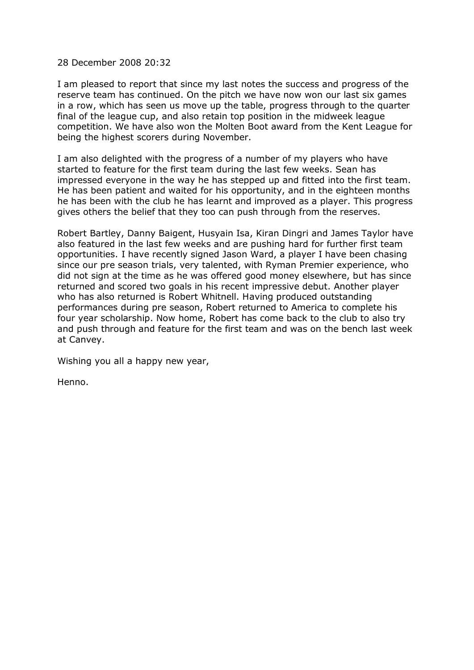## 28 December 2008 20:32

I am pleased to report that since my last notes the success and progress of the reserve team has continued. On the pitch we have now won our last six games in a row, which has seen us move up the table, progress through to the quarter final of the league cup, and also retain top position in the midweek league competition. We have also won the Molten Boot award from the Kent League for being the highest scorers during November.

I am also delighted with the progress of a number of my players who have started to feature for the first team during the last few weeks. Sean has impressed everyone in the way he has stepped up and fitted into the first team. He has been patient and waited for his opportunity, and in the eighteen months he has been with the club he has learnt and improved as a player. This progress gives others the belief that they too can push through from the reserves.

Robert Bartley, Danny Baigent, Husyain Isa, Kiran Dingri and James Taylor have also featured in the last few weeks and are pushing hard for further first team opportunities. I have recently signed Jason Ward, a player I have been chasing since our pre season trials, very talented, with Ryman Premier experience, who did not sign at the time as he was offered good money elsewhere, but has since returned and scored two goals in his recent impressive debut. Another player who has also returned is Robert Whitnell. Having produced outstanding performances during pre season, Robert returned to America to complete his four year scholarship. Now home, Robert has come back to the club to also try and push through and feature for the first team and was on the bench last week at Canvey.

Wishing you all a happy new year,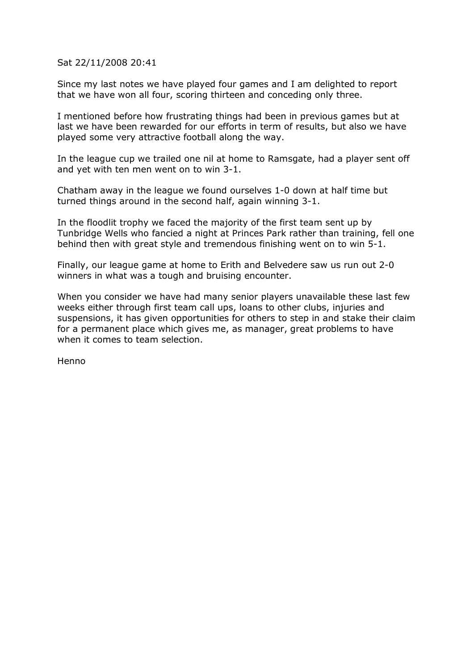Sat 22/11/2008 20:41

Since my last notes we have played four games and I am delighted to report that we have won all four, scoring thirteen and conceding only three.

I mentioned before how frustrating things had been in previous games but at last we have been rewarded for our efforts in term of results, but also we have played some very attractive football along the way.

In the league cup we trailed one nil at home to Ramsgate, had a player sent off and yet with ten men went on to win 3-1.

Chatham away in the league we found ourselves 1-0 down at half time but turned things around in the second half, again winning 3-1.

In the floodlit trophy we faced the majority of the first team sent up by Tunbridge Wells who fancied a night at Princes Park rather than training, fell one behind then with great style and tremendous finishing went on to win 5-1.

Finally, our league game at home to Erith and Belvedere saw us run out 2-0 winners in what was a tough and bruising encounter.

When you consider we have had many senior players unavailable these last few weeks either through first team call ups, loans to other clubs, injuries and suspensions, it has given opportunities for others to step in and stake their claim for a permanent place which gives me, as manager, great problems to have when it comes to team selection.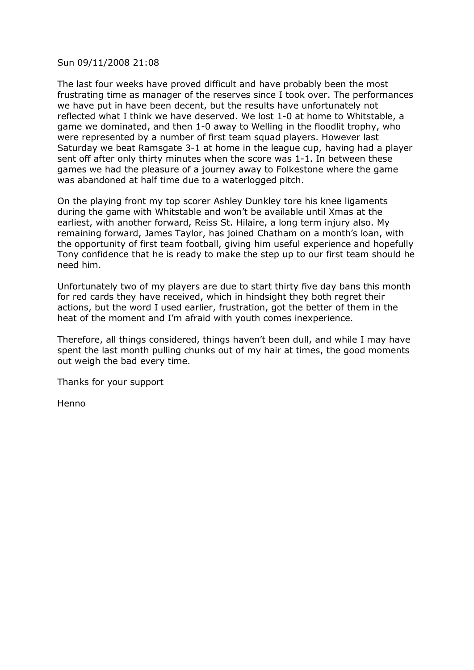## Sun 09/11/2008 21:08

The last four weeks have proved difficult and have probably been the most frustrating time as manager of the reserves since I took over. The performances we have put in have been decent, but the results have unfortunately not reflected what I think we have deserved. We lost 1-0 at home to Whitstable, a game we dominated, and then 1-0 away to Welling in the floodlit trophy, who were represented by a number of first team squad players. However last Saturday we beat Ramsgate 3-1 at home in the league cup, having had a player sent off after only thirty minutes when the score was 1-1. In between these games we had the pleasure of a journey away to Folkestone where the game was abandoned at half time due to a waterlogged pitch.

On the playing front my top scorer Ashley Dunkley tore his knee ligaments during the game with Whitstable and won't be available until Xmas at the earliest, with another forward, Reiss St. Hilaire, a long term injury also. My remaining forward, James Taylor, has joined Chatham on a month's loan, with the opportunity of first team football, giving him useful experience and hopefully Tony confidence that he is ready to make the step up to our first team should he need him.

Unfortunately two of my players are due to start thirty five day bans this month for red cards they have received, which in hindsight they both regret their actions, but the word I used earlier, frustration, got the better of them in the heat of the moment and I'm afraid with youth comes inexperience.

Therefore, all things considered, things haven't been dull, and while I may have spent the last month pulling chunks out of my hair at times, the good moments out weigh the bad every time.

Thanks for your support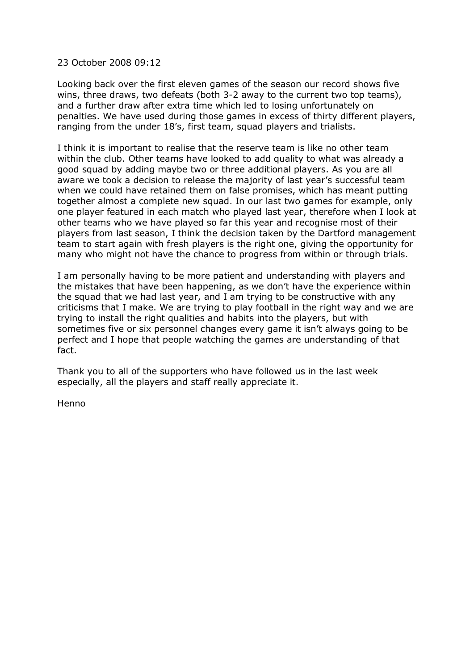## 23 October 2008 09:12

Looking back over the first eleven games of the season our record shows five wins, three draws, two defeats (both 3-2 away to the current two top teams), and a further draw after extra time which led to losing unfortunately on penalties. We have used during those games in excess of thirty different players, ranging from the under 18's, first team, squad players and trialists.

I think it is important to realise that the reserve team is like no other team within the club. Other teams have looked to add quality to what was already a good squad by adding maybe two or three additional players. As you are all aware we took a decision to release the majority of last year's successful team when we could have retained them on false promises, which has meant putting together almost a complete new squad. In our last two games for example, only one player featured in each match who played last year, therefore when I look at other teams who we have played so far this year and recognise most of their players from last season, I think the decision taken by the Dartford management team to start again with fresh players is the right one, giving the opportunity for many who might not have the chance to progress from within or through trials.

I am personally having to be more patient and understanding with players and the mistakes that have been happening, as we don't have the experience within the squad that we had last year, and I am trying to be constructive with any criticisms that I make. We are trying to play football in the right way and we are trying to install the right qualities and habits into the players, but with sometimes five or six personnel changes every game it isn't always going to be perfect and I hope that people watching the games are understanding of that fact.

Thank you to all of the supporters who have followed us in the last week especially, all the players and staff really appreciate it.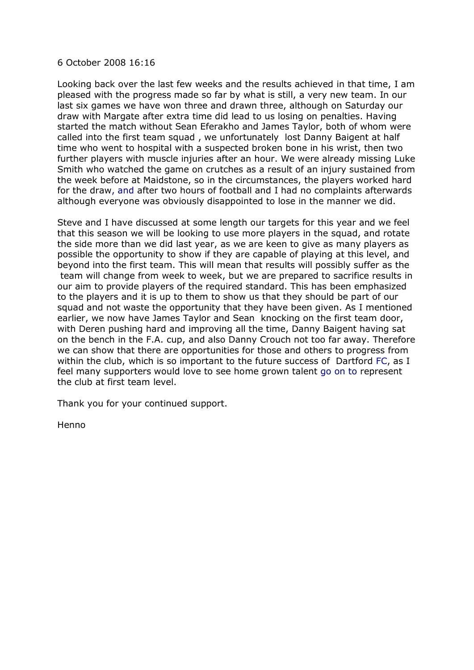#### 6 October 2008 16:16

Looking back over the last few weeks and the results achieved in that time, I am pleased with the progress made so far by what is still, a very new team. In our last six games we have won three and drawn three, although on Saturday our draw with Margate after extra time did lead to us losing on penalties. Having started the match without Sean Eferakho and James Taylor, both of whom were called into the first team squad , we unfortunately lost Danny Baigent at half time who went to hospital with a suspected broken bone in his wrist, then two further players with muscle injuries after an hour. We were already missing Luke Smith who watched the game on crutches as a result of an injury sustained from the week before at Maidstone, so in the circumstances, the players worked hard for the draw, and after two hours of football and I had no complaints afterwards although everyone was obviously disappointed to lose in the manner we did.

Steve and I have discussed at some length our targets for this year and we feel that this season we will be looking to use more players in the squad, and rotate the side more than we did last year, as we are keen to give as many players as possible the opportunity to show if they are capable of playing at this level, and beyond into the first team. This will mean that results will possibly suffer as the team will change from week to week, but we are prepared to sacrifice results in our aim to provide players of the required standard. This has been emphasized to the players and it is up to them to show us that they should be part of our squad and not waste the opportunity that they have been given. As I mentioned earlier, we now have James Taylor and Sean knocking on the first team door, with Deren pushing hard and improving all the time, Danny Baigent having sat on the bench in the F.A. cup, and also Danny Crouch not too far away. Therefore we can show that there are opportunities for those and others to progress from within the club, which is so important to the future success of Dartford FC, as I feel many supporters would love to see home grown talent go on to represent the club at first team level.

Thank you for your continued support.